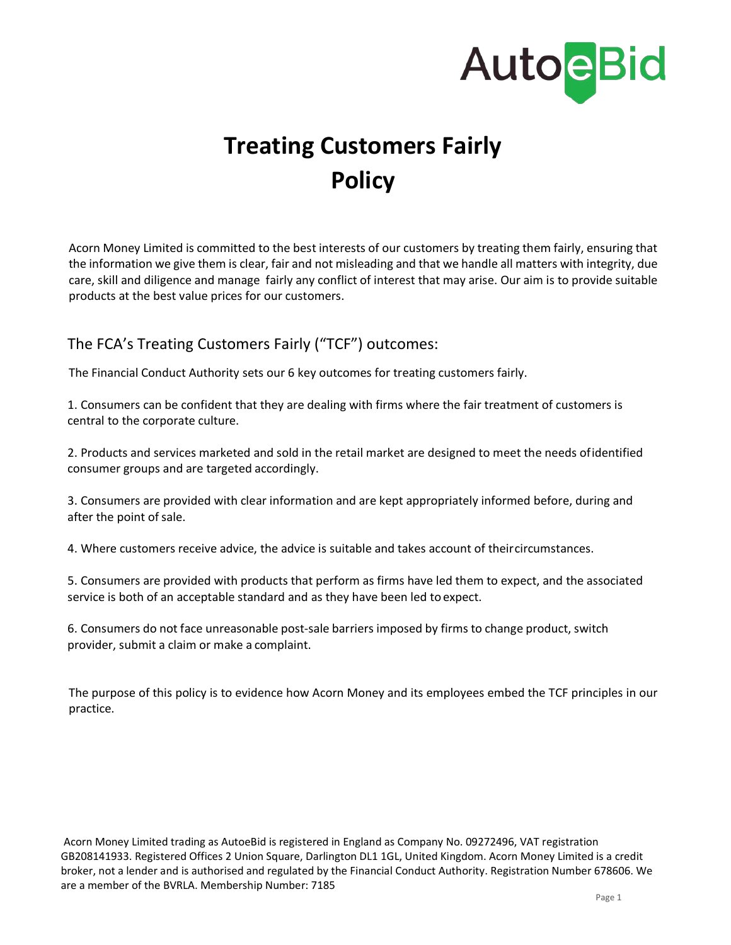

# **Treating Customers Fairly Policy**

Acorn Money Limited is committed to the best interests of our customers by treating them fairly, ensuring that the information we give them is clear, fair and not misleading and that we handle all matters with integrity, due care, skill and diligence and manage fairly any conflict of interest that may arise. Our aim is to provide suitable products at the best value prices for our customers.

## The FCA's Treating Customers Fairly ("TCF") outcomes:

The Financial Conduct Authority sets our 6 key outcomes for treating customers fairly.

1. Consumers can be confident that they are dealing with firms where the fair treatment of customers is central to the corporate culture.

2. Products and services marketed and sold in the retail market are designed to meet the needs ofidentified consumer groups and are targeted accordingly.

3. Consumers are provided with clear information and are kept appropriately informed before, during and after the point of sale.

4. Where customers receive advice, the advice is suitable and takes account of theircircumstances.

5. Consumers are provided with products that perform as firms have led them to expect, and the associated service is both of an acceptable standard and as they have been led to expect.

6. Consumers do not face unreasonable post-sale barriers imposed by firms to change product, switch provider, submit a claim or make a complaint.

The purpose of this policy is to evidence how Acorn Money and its employees embed the TCF principles in our practice.

Acorn Money Limited trading as AutoeBid is registered in England as Company No. 09272496, VAT registration GB208141933. Registered Offices 2 Union Square, Darlington DL1 1GL, United Kingdom. Acorn Money Limited is a credit broker, not a lender and is authorised and regulated by the Financial Conduct Authority. Registration Number 678606. We are a member of the BVRLA. Membership Number: 7185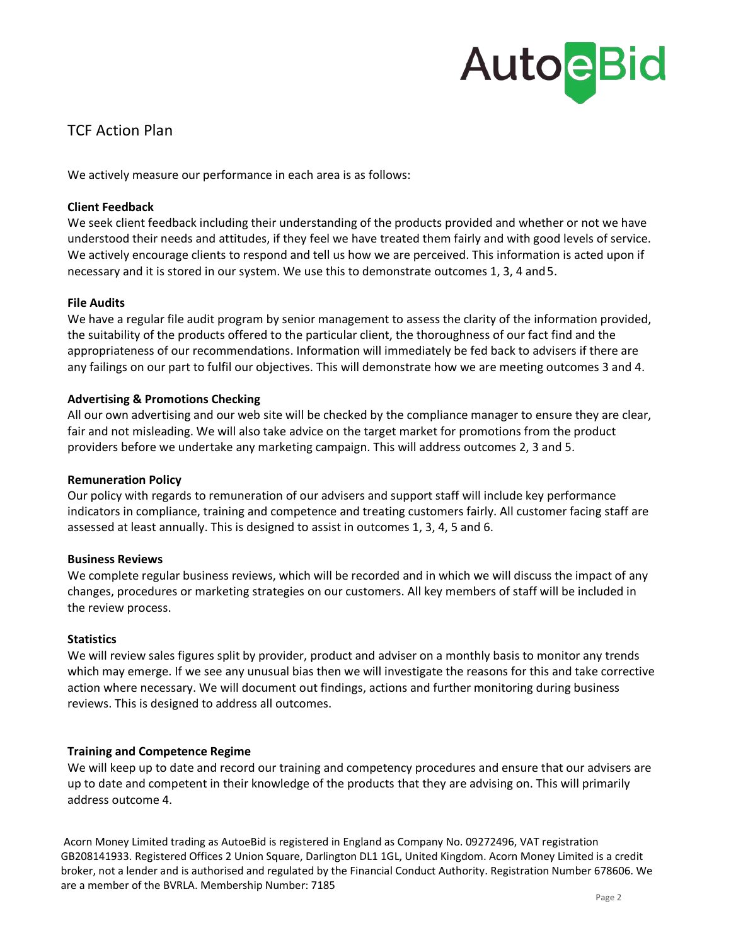# **AutoeBid**

## TCF Action Plan

We actively measure our performance in each area is as follows:

#### **Client Feedback**

We seek client feedback including their understanding of the products provided and whether or not we have understood their needs and attitudes, if they feel we have treated them fairly and with good levels of service. We actively encourage clients to respond and tell us how we are perceived. This information is acted upon if necessary and it is stored in our system. We use this to demonstrate outcomes 1, 3, 4 and5.

#### **File Audits**

We have a regular file audit program by senior management to assess the clarity of the information provided, the suitability of the products offered to the particular client, the thoroughness of our fact find and the appropriateness of our recommendations. Information will immediately be fed back to advisers if there are any failings on our part to fulfil our objectives. This will demonstrate how we are meeting outcomes 3 and 4.

#### **Advertising & Promotions Checking**

All our own advertising and our web site will be checked by the compliance manager to ensure they are clear, fair and not misleading. We will also take advice on the target market for promotions from the product providers before we undertake any marketing campaign. This will address outcomes 2, 3 and 5.

#### **Remuneration Policy**

Our policy with regards to remuneration of our advisers and support staff will include key performance indicators in compliance, training and competence and treating customers fairly. All customer facing staff are assessed at least annually. This is designed to assist in outcomes 1, 3, 4, 5 and 6.

#### **Business Reviews**

We complete regular business reviews, which will be recorded and in which we will discuss the impact of any changes, procedures or marketing strategies on our customers. All key members of staff will be included in the review process.

#### **Statistics**

We will review sales figures split by provider, product and adviser on a monthly basis to monitor any trends which may emerge. If we see any unusual bias then we will investigate the reasons for this and take corrective action where necessary. We will document out findings, actions and further monitoring during business reviews. This is designed to address all outcomes.

#### **Training and Competence Regime**

We will keep up to date and record our training and competency procedures and ensure that our advisers are up to date and competent in their knowledge of the products that they are advising on. This will primarily address outcome 4.

Acorn Money Limited trading as AutoeBid is registered in England as Company No. 09272496, VAT registration GB208141933. Registered Offices 2 Union Square, Darlington DL1 1GL, United Kingdom. Acorn Money Limited is a credit broker, not a lender and is authorised and regulated by the Financial Conduct Authority. Registration Number 678606. We are a member of the BVRLA. Membership Number: 7185